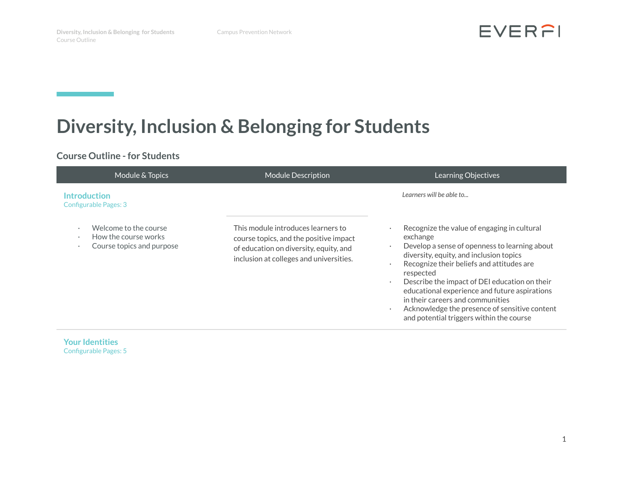and the state of the state of the state of the

EVERFI

# **Diversity, Inclusion & Belonging for Students**

# **Course Outline - for Students**

| Module & Topics                                                            | <b>Module Description</b>                                                                                                                                         | Learning Objectives                                                                                                                                                                                                                                                                                                                                                                                                                              |
|----------------------------------------------------------------------------|-------------------------------------------------------------------------------------------------------------------------------------------------------------------|--------------------------------------------------------------------------------------------------------------------------------------------------------------------------------------------------------------------------------------------------------------------------------------------------------------------------------------------------------------------------------------------------------------------------------------------------|
| <b>Introduction</b><br><b>Configurable Pages: 3</b>                        |                                                                                                                                                                   | Learners will be able to                                                                                                                                                                                                                                                                                                                                                                                                                         |
| Welcome to the course<br>How the course works<br>Course topics and purpose | This module introduces learners to<br>course topics, and the positive impact<br>of education on diversity, equity, and<br>inclusion at colleges and universities. | Recognize the value of engaging in cultural<br>exchange<br>Develop a sense of openness to learning about<br>diversity, equity, and inclusion topics<br>Recognize their beliefs and attitudes are<br>respected<br>Describe the impact of DEI education on their<br>educational experience and future aspirations<br>in their careers and communities<br>Acknowledge the presence of sensitive content<br>and potential triggers within the course |

**Your Identities** Configurable Pages: 5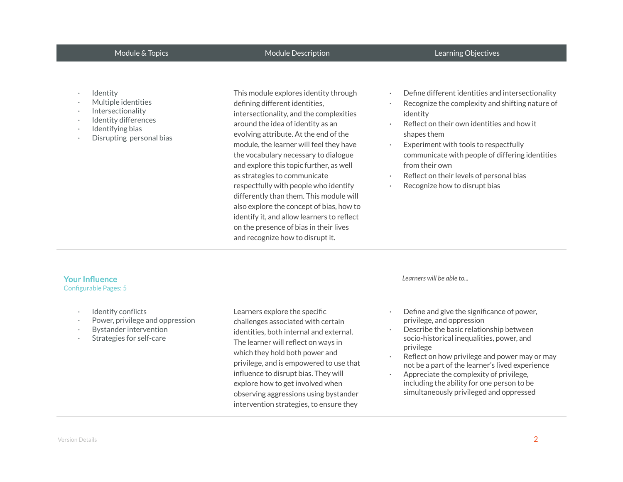# Module & Topics **Module Description** Module Description Learning Objectives

- **Identity**
- · Multiple identities
- · Intersectionality
- Identity differences
- Identifying bias
- · Disrupting personal bias

This module explores identity through defining different identities, intersectionality, and the complexities around the idea of identity as an evolving attribute. At the end of the module, the learner will feel they have the vocabulary necessary to dialogue and explore this topic further, as well as strategies to communicate respectfully with people who identify differently than them. This module will also explore the concept of bias, how to identify it, and allow learners to reflect on the presence of bias in their lives and recognize how to disrupt it.

- Define different identities and intersectionality
- Recognize the complexity and shifting nature of identity
- Reflect on their own identities and how it shapes them
- Experiment with tools to respectfully communicate with people of differing identities from their own
- Reflect on their levels of personal bias
- Recognize how to disrupt bias

### **Your Influence** Configurable Pages: 5

- · Identify conflicts
- Power, privilege and oppression
- Bystander intervention
- Strategies for self-care

Learners explore the specific challenges associated with certain identities, both internal and external. The learner will reflect on ways in which they hold both power and privilege, and is empowered to use that influence to disrupt bias. They will explore how to get involved when observing aggressions using bystander intervention strategies, to ensure they

*Learners will be able to...*

- Define and give the significance of power, privilege, and oppression
- Describe the basic relationship between socio-historical inequalities, power, and privilege
- Reflect on how privilege and power may or may not be a part of the learner's lived experience
- · Appreciate the complexity of privilege, including the ability for one person to be simultaneously privileged and oppressed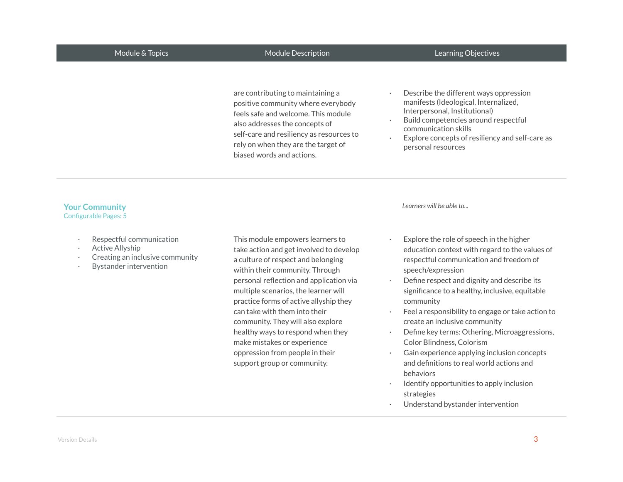# Module & Topics **Module Description** Module Description Learning Objectives

are contributing to maintaining a positive community where everybody feels safe and welcome. This module also addresses the concepts of self-care and resiliency as resources to rely on when they are the target of biased words and actions.

- Describe the different ways oppression manifests (Ideological, Internalized, Interpersonal, Institutional)
- Build competencies around respectful communication skills
- Explore concepts of resiliency and self-care as personal resources

## **Your Community** Configurable Pages: 5

- Respectful communication
- Active Allyship
- Creating an inclusive community
- · Bystander intervention

This module empowers learners to take action and get involved to develop a culture of respect and belonging within their community. Through personal reflection and application via multiple scenarios, the learner will practice forms of active allyship they can take with them into their community. They will also explore healthy ways to respond when they make mistakes or experience oppression from people in their support group or community.

*Learners will be able to...*

- Explore the role of speech in the higher education context with regard to the values of respectful communication and freedom of speech/expression
- Define respect and dignity and describe its significance to a healthy, inclusive, equitable community
- Feel a responsibility to engage or take action to create an inclusive community
- Define key terms: Othering, Microaggressions, Color Blindness, Colorism
- Gain experience applying inclusion concepts and definitions to real world actions and behaviors
- Identify opportunities to apply inclusion strategies
- Understand bystander intervention